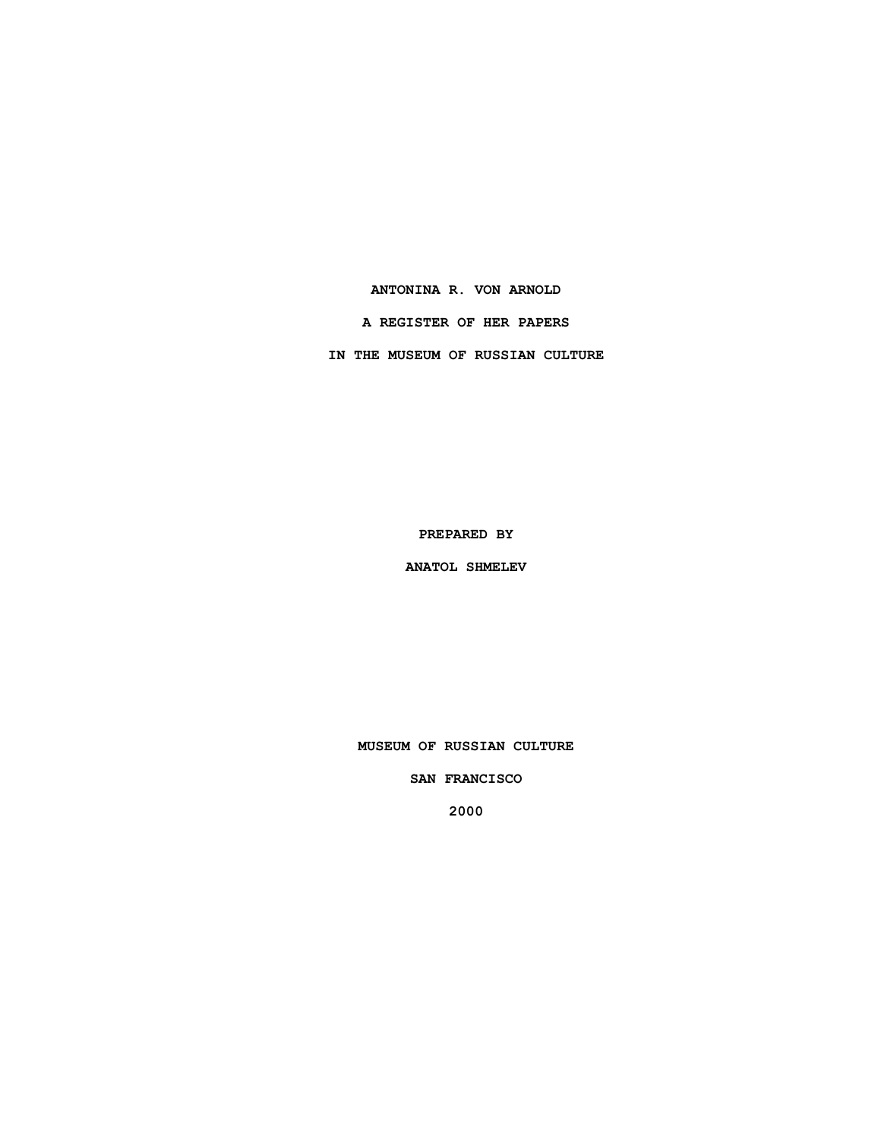### **ANTONINA R. VON ARNOLD**

### **A REGISTER OF HER PAPERS**

**IN THE MUSEUM OF RUSSIAN CULTURE**

**PREPARED BY**

**ANATOL SHMELEV**

**MUSEUM OF RUSSIAN CULTURE**

**SAN FRANCISCO**

**2000**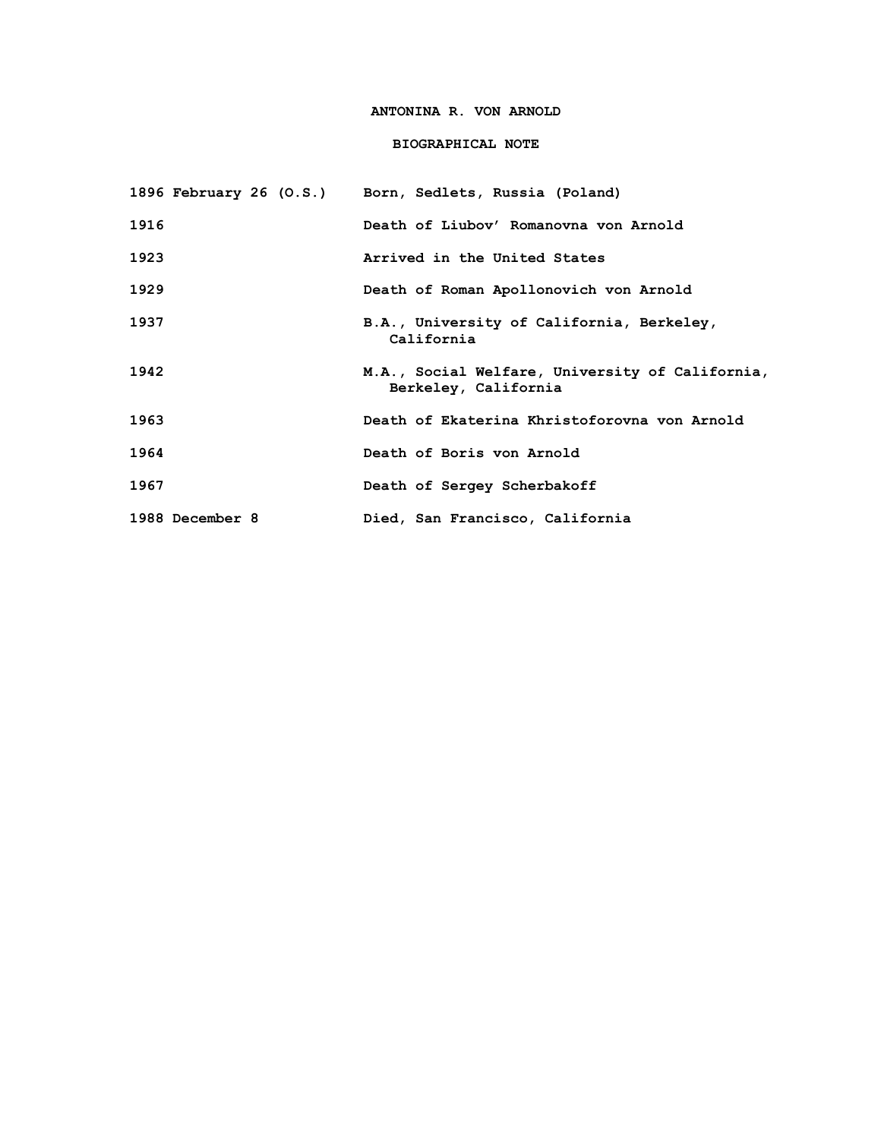# **ANTONINA R. VON ARNOLD**

## **BIOGRAPHICAL NOTE**

|                 | 1896 February 26 (O.S.) Born, Sedlets, Russia (Poland)                  |
|-----------------|-------------------------------------------------------------------------|
| 1916            | Death of Liubov' Romanovna von Arnold                                   |
| 1923            | Arrived in the United States                                            |
| 1929            | Death of Roman Apollonovich von Arnold                                  |
| 1937            | B.A., University of California, Berkeley,<br>California                 |
| 1942            | M.A., Social Welfare, University of California,<br>Berkeley, California |
| 1963            | Death of Ekaterina Khristoforovna von Arnold                            |
| 1964            | Death of Boris von Arnold                                               |
| 1967            | Death of Sergey Scherbakoff                                             |
| 1988 December 8 | Died, San Francisco, California                                         |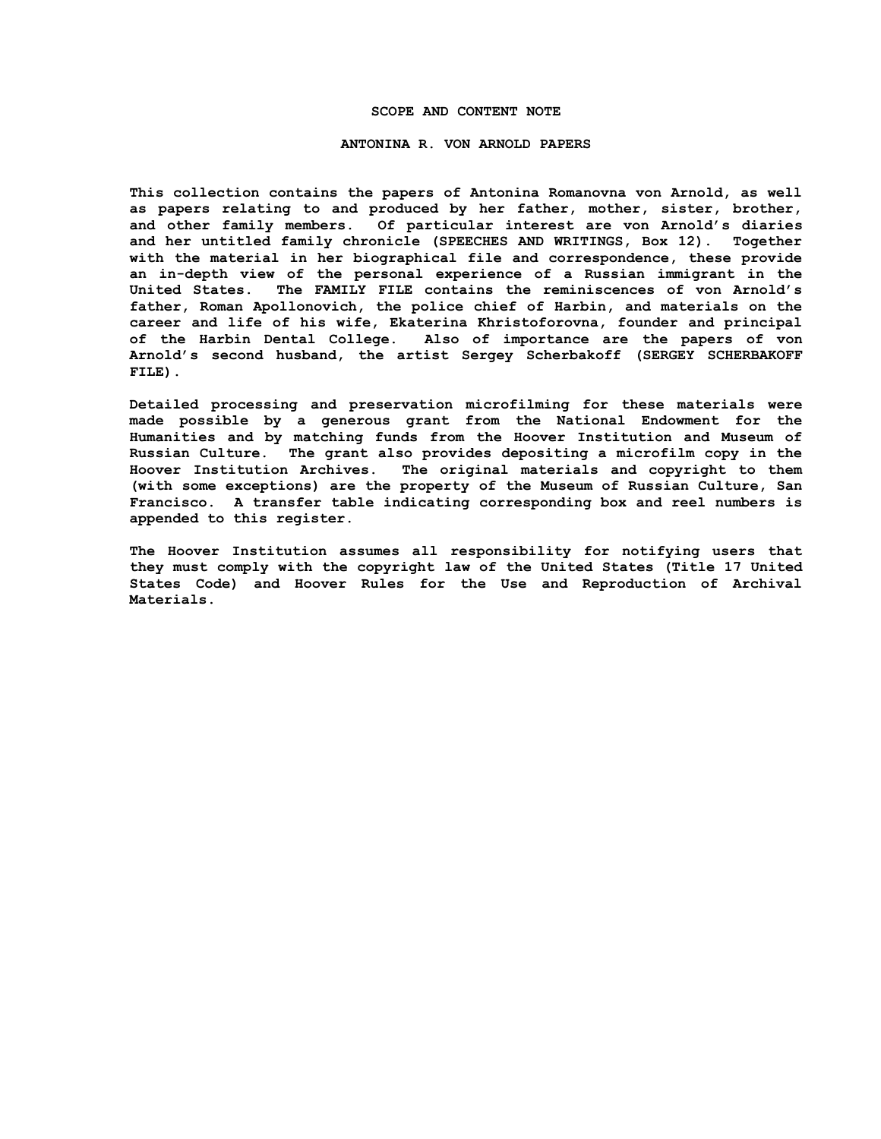#### **SCOPE AND CONTENT NOTE**

#### **ANTONINA R. VON ARNOLD PAPERS**

**This collection contains the papers of Antonina Romanovna von Arnold, as well as papers relating to and produced by her father, mother, sister, brother, and other family members. Of particular interest are von Arnold's diaries and her untitled family chronicle (SPEECHES AND WRITINGS, Box 12). Together with the material in her biographical file and correspondence, these provide an in-depth view of the personal experience of a Russian immigrant in the United States. The FAMILY FILE contains the reminiscences of von Arnold's father, Roman Apollonovich, the police chief of Harbin, and materials on the career and life of his wife, Ekaterina Khristoforovna, founder and principal of the Harbin Dental College. Also of importance are the papers of von Arnold's second husband, the artist Sergey Scherbakoff (SERGEY SCHERBAKOFF FILE).**

**Detailed processing and preservation microfilming for these materials were made possible by a generous grant from the National Endowment for the Humanities and by matching funds from the Hoover Institution and Museum of Russian Culture. The grant also provides depositing a microfilm copy in the Hoover Institution Archives. The original materials and copyright to them (with some exceptions) are the property of the Museum of Russian Culture, San Francisco. A transfer table indicating corresponding box and reel numbers is appended to this register.**

**The Hoover Institution assumes all responsibility for notifying users that they must comply with the copyright law of the United States (Title 17 United States Code) and Hoover Rules for the Use and Reproduction of Archival Materials.**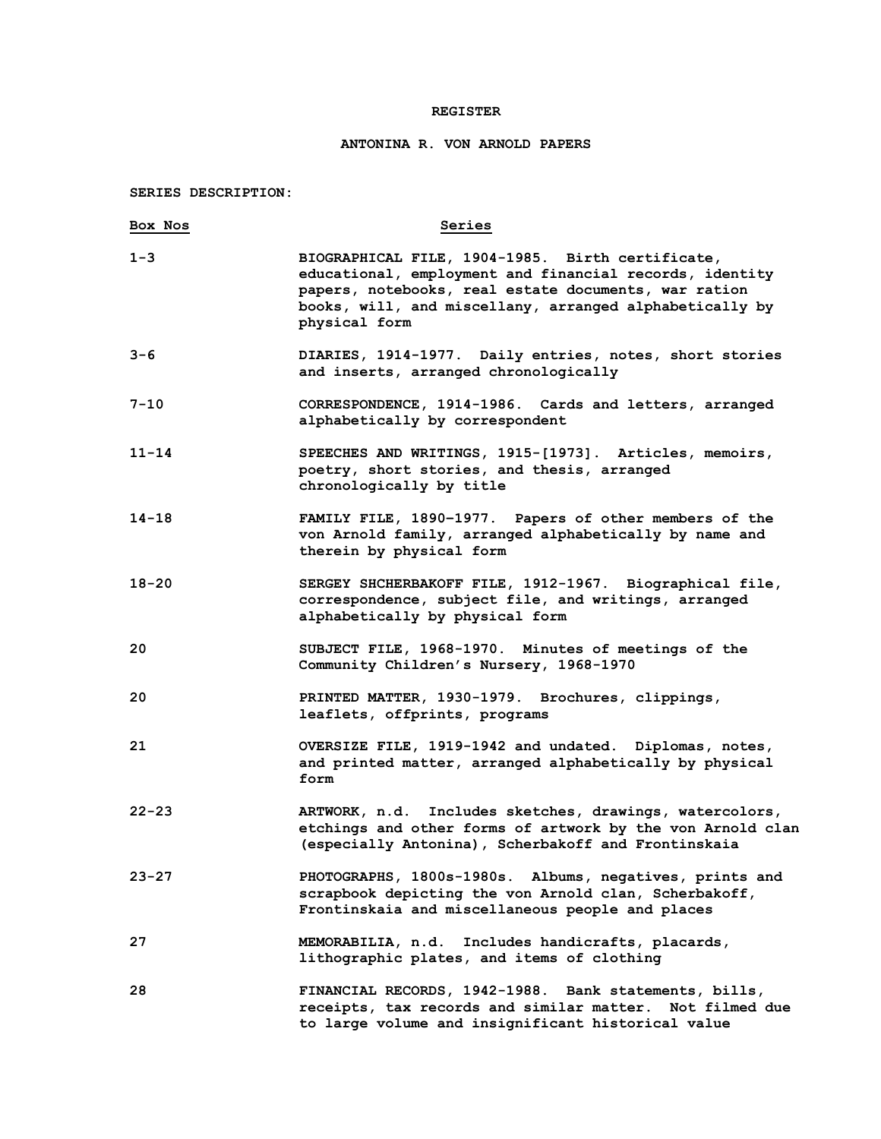### **REGISTER**

# **ANTONINA R. VON ARNOLD PAPERS**

**SERIES DESCRIPTION:**

| Box Nos   | Series                                                                                                                                                                                                                                          |
|-----------|-------------------------------------------------------------------------------------------------------------------------------------------------------------------------------------------------------------------------------------------------|
| $1 - 3$   | BIOGRAPHICAL FILE, 1904-1985. Birth certificate,<br>educational, employment and financial records, identity<br>papers, notebooks, real estate documents, war ration<br>books, will, and miscellany, arranged alphabetically by<br>physical form |
| $3 - 6$   | DIARIES, 1914-1977. Daily entries, notes, short stories<br>and inserts, arranged chronologically                                                                                                                                                |
| 7-10      | CORRESPONDENCE, 1914-1986. Cards and letters, arranged<br>alphabetically by correspondent                                                                                                                                                       |
| $11 - 14$ | SPEECHES AND WRITINGS, 1915-[1973]. Articles, memoirs,<br>poetry, short stories, and thesis, arranged<br>chronologically by title                                                                                                               |
| $14 - 18$ | FAMILY FILE, 1890-1977. Papers of other members of the<br>von Arnold family, arranged alphabetically by name and<br>therein by physical form                                                                                                    |
| $18 - 20$ | SERGEY SHCHERBAKOFF FILE, 1912-1967. Biographical file,<br>correspondence, subject file, and writings, arranged<br>alphabetically by physical form                                                                                              |
| 20        | SUBJECT FILE, 1968-1970. Minutes of meetings of the<br>Community Children's Nursery, 1968-1970                                                                                                                                                  |
| 20        | PRINTED MATTER, 1930-1979. Brochures, clippings,<br>leaflets, offprints, programs                                                                                                                                                               |
| 21        | OVERSIZE FILE, 1919-1942 and undated. Diplomas, notes,<br>and printed matter, arranged alphabetically by physical<br>form                                                                                                                       |
| $22 - 23$ | ARTWORK, n.d. Includes sketches, drawings, watercolors,<br>etchings and other forms of artwork by the von Arnold clan<br>(especially Antonina), Scherbakoff and Frontinskaia                                                                    |
| $23 - 27$ | PHOTOGRAPHS, 1800s-1980s. Albums, negatives, prints and<br>scrapbook depicting the von Arnold clan, Scherbakoff,<br>Frontinskaia and miscellaneous people and places                                                                            |
| 27        | MEMORABILIA, n.d. Includes handicrafts, placards,<br>lithographic plates, and items of clothing                                                                                                                                                 |
| 28        | FINANCIAL RECORDS, 1942-1988. Bank statements, bills,<br>receipts, tax records and similar matter. Not filmed due<br>to large volume and insignificant historical value                                                                         |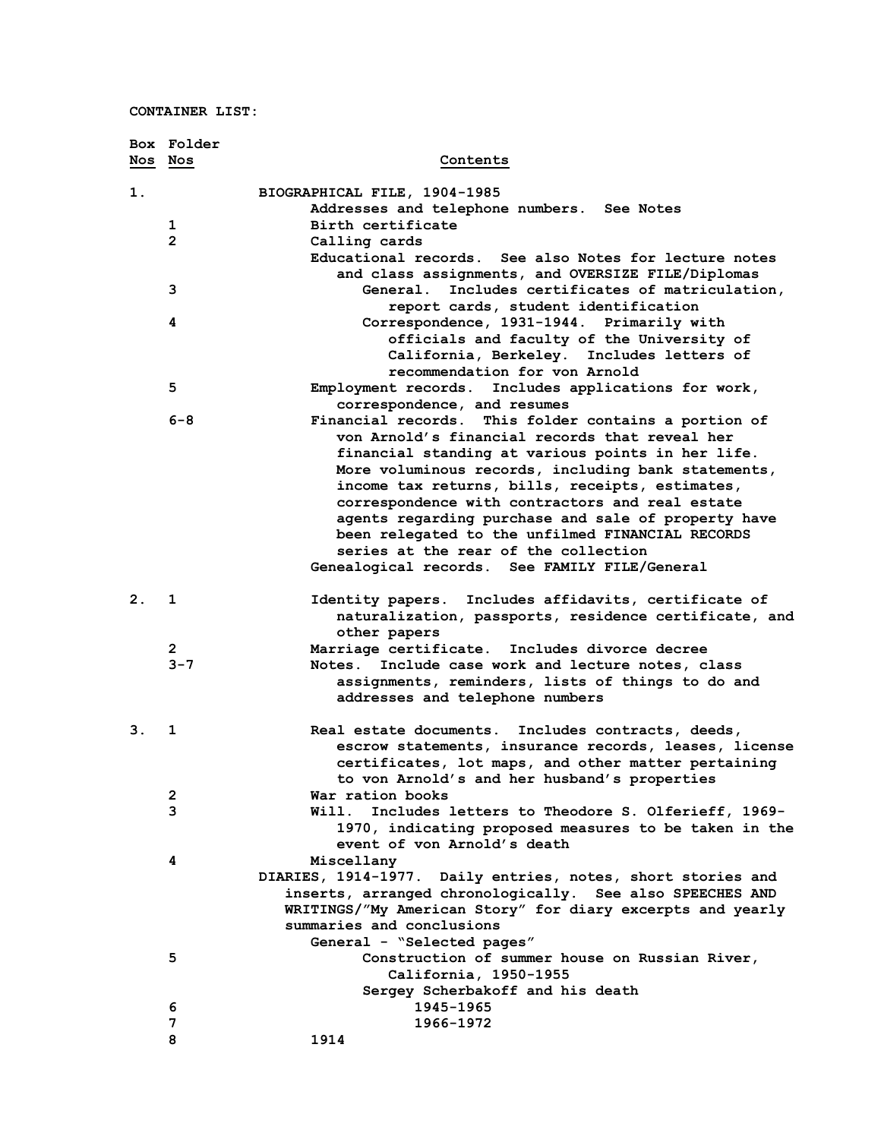|                | Box Folder     |                                                             |
|----------------|----------------|-------------------------------------------------------------|
| Nos Nos        |                | Contents                                                    |
| 1.             |                | BIOGRAPHICAL FILE, 1904-1985                                |
|                |                | Addresses and telephone numbers. See Notes                  |
|                | 1              | Birth certificate                                           |
|                | $\overline{2}$ | Calling cards                                               |
|                |                | Educational records. See also Notes for lecture notes       |
|                |                | and class assignments, and OVERSIZE FILE/Diplomas           |
|                | 3              | Includes certificates of matriculation,<br><b>General.</b>  |
|                |                | report cards, student identification                        |
|                | 4              | Correspondence, 1931-1944. Primarily with                   |
|                |                | officials and faculty of the University of                  |
|                |                | California, Berkeley. Includes letters of                   |
|                |                | recommendation for von Arnold                               |
|                | 5              | Employment records. Includes applications for work,         |
|                |                | correspondence, and resumes                                 |
|                | $6 - 8$        | This folder contains a portion of<br>Financial records.     |
|                |                | von Arnold's financial records that reveal her              |
|                |                | financial standing at various points in her life.           |
|                |                | More voluminous records, including bank statements,         |
|                |                | income tax returns, bills, receipts, estimates,             |
|                |                | correspondence with contractors and real estate             |
|                |                | agents regarding purchase and sale of property have         |
|                |                | been relegated to the unfilmed FINANCIAL RECORDS            |
|                |                | series at the rear of the collection                        |
|                |                | Genealogical records. See FAMILY FILE/General               |
| $\mathbf{2}$ . | 1              | Includes affidavits, certificate of<br>Identity papers.     |
|                |                | naturalization, passports, residence certificate, and       |
|                |                | other papers                                                |
|                | $\overline{2}$ | Marriage certificate. Includes divorce decree               |
|                | $3 - 7$        | Include case work and lecture notes, class<br>Notes.        |
|                |                | assignments, reminders, lists of things to do and           |
|                |                | addresses and telephone numbers                             |
| З.             | 1              | Real estate documents.<br>Includes contracts, deeds,        |
|                |                | escrow statements, insurance records, leases, license       |
|                |                | certificates, lot maps, and other matter pertaining         |
|                |                | to von Arnold's and her husband's properties                |
|                | 2              | War ration books                                            |
|                | 3              | Will.<br>Includes letters to Theodore S. Olferieff, 1969-   |
|                |                | 1970, indicating proposed measures to be taken in the       |
|                |                | event of von Arnold's death                                 |
|                | 4              | Miscellany                                                  |
|                |                | DIARIES, 1914-1977. Daily entries, notes, short stories and |
|                |                | inserts, arranged chronologically. See also SPEECHES AND    |
|                |                | WRITINGS/"My American Story" for diary excerpts and yearly  |
|                |                | summaries and conclusions                                   |
|                |                | General - "Selected pages"                                  |
|                | 5              | Construction of summer house on Russian River,              |
|                |                | California, 1950-1955                                       |
|                |                | Sergey Scherbakoff and his death                            |
|                | 6              | 1945-1965                                                   |
|                | 7              | 1966–1972                                                   |
|                | 8              | 1914                                                        |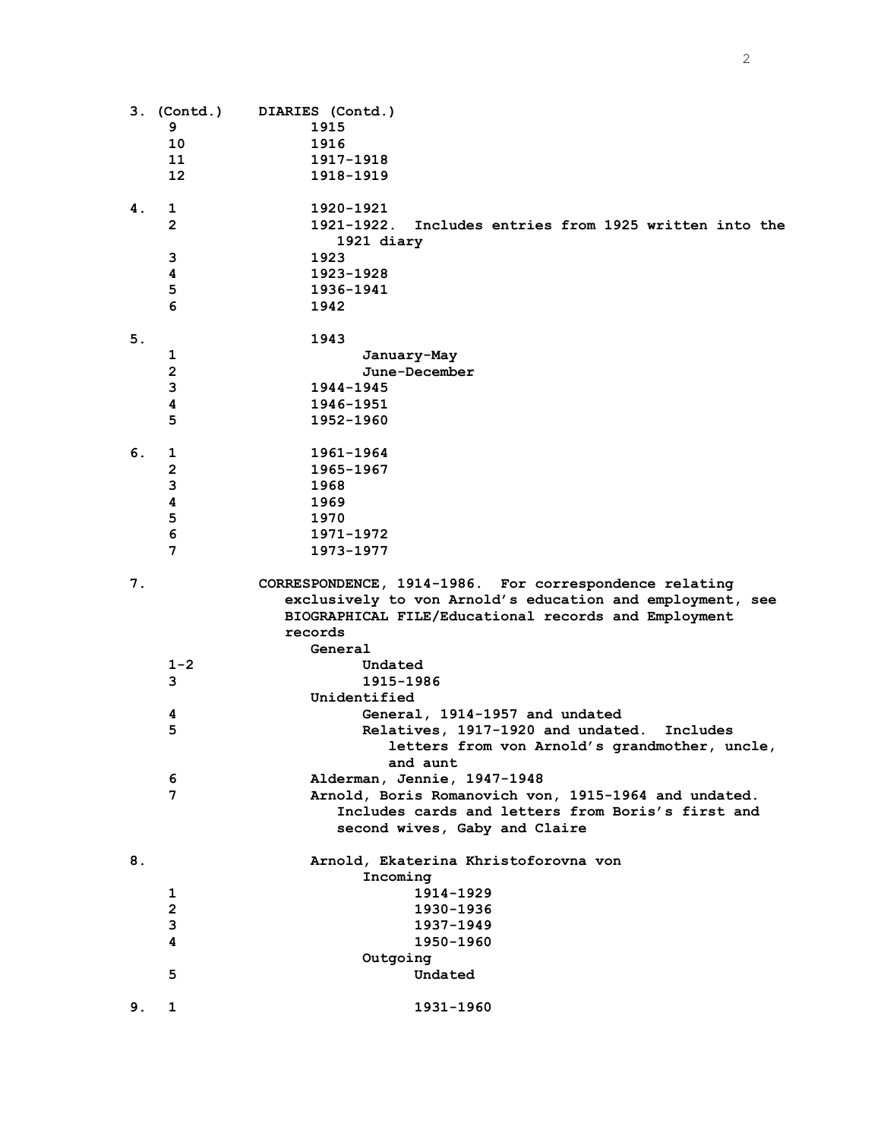|    | 3. (Contd.)       | DIARIES (Contd.)                                          |
|----|-------------------|-----------------------------------------------------------|
|    | 9                 | 1915                                                      |
|    | 10                | 1916                                                      |
|    | 11                | 1917-1918                                                 |
|    | $12 \overline{ }$ | 1918-1919                                                 |
|    |                   |                                                           |
| 4. | 1                 | 1920-1921                                                 |
|    | $\overline{2}$    | 1921-1922. Includes entries from 1925 written into the    |
|    |                   | 1921 diary                                                |
|    | 3                 | 1923                                                      |
|    | 4                 | 1923-1928                                                 |
|    | 5                 | 1936-1941                                                 |
|    | 6                 | 1942                                                      |
|    |                   |                                                           |
| 5. |                   | 1943                                                      |
|    | 1                 | January-May                                               |
|    | $\overline{2}$    | June-December                                             |
|    | 3                 | 1944-1945                                                 |
|    | 4                 | 1946-1951                                                 |
|    | 5                 | 1952-1960                                                 |
|    |                   |                                                           |
| 6. | 1                 | 1961-1964                                                 |
|    | $\overline{2}$    | 1965-1967                                                 |
|    | 3                 | 1968                                                      |
|    | 4                 | 1969                                                      |
|    |                   |                                                           |
|    | 5                 | 1970                                                      |
|    | 6                 | 1971-1972                                                 |
|    | $\overline{7}$    | 1973-1977                                                 |
| 7. |                   | CORRESPONDENCE, 1914-1986. For correspondence relating    |
|    |                   | exclusively to von Arnold's education and employment, see |
|    |                   | BIOGRAPHICAL FILE/Educational records and Employment      |
|    |                   | records                                                   |
|    |                   |                                                           |
|    |                   | General                                                   |
|    | $1 - 2$           | Undated                                                   |
|    | 3                 | 1915-1986                                                 |
|    |                   | Unidentified                                              |
|    | 4                 | General, 1914-1957 and undated                            |
|    | 5                 | Relatives, 1917-1920 and undated. Includes                |
|    |                   | letters from von Arnold's grandmother, uncle,             |
|    |                   | and aunt                                                  |
|    | 6                 | Alderman, Jennie, 1947-1948                               |
|    | 7                 | Arnold, Boris Romanovich von, 1915-1964 and undated.      |
|    |                   | Includes cards and letters from Boris's first and         |
|    |                   | second wives, Gaby and Claire                             |
|    |                   |                                                           |
| 8. |                   | Arnold, Ekaterina Khristoforovna von                      |
|    |                   | Incoming                                                  |
|    | 1                 | 1914-1929                                                 |
|    | $\overline{2}$    | 1930-1936                                                 |
|    | 3                 | 1937-1949                                                 |
|    | 4                 | 1950-1960                                                 |
|    |                   | Outgoing                                                  |
|    | 5                 | Undated                                                   |
|    |                   |                                                           |
| 9. | 1                 | 1931-1960                                                 |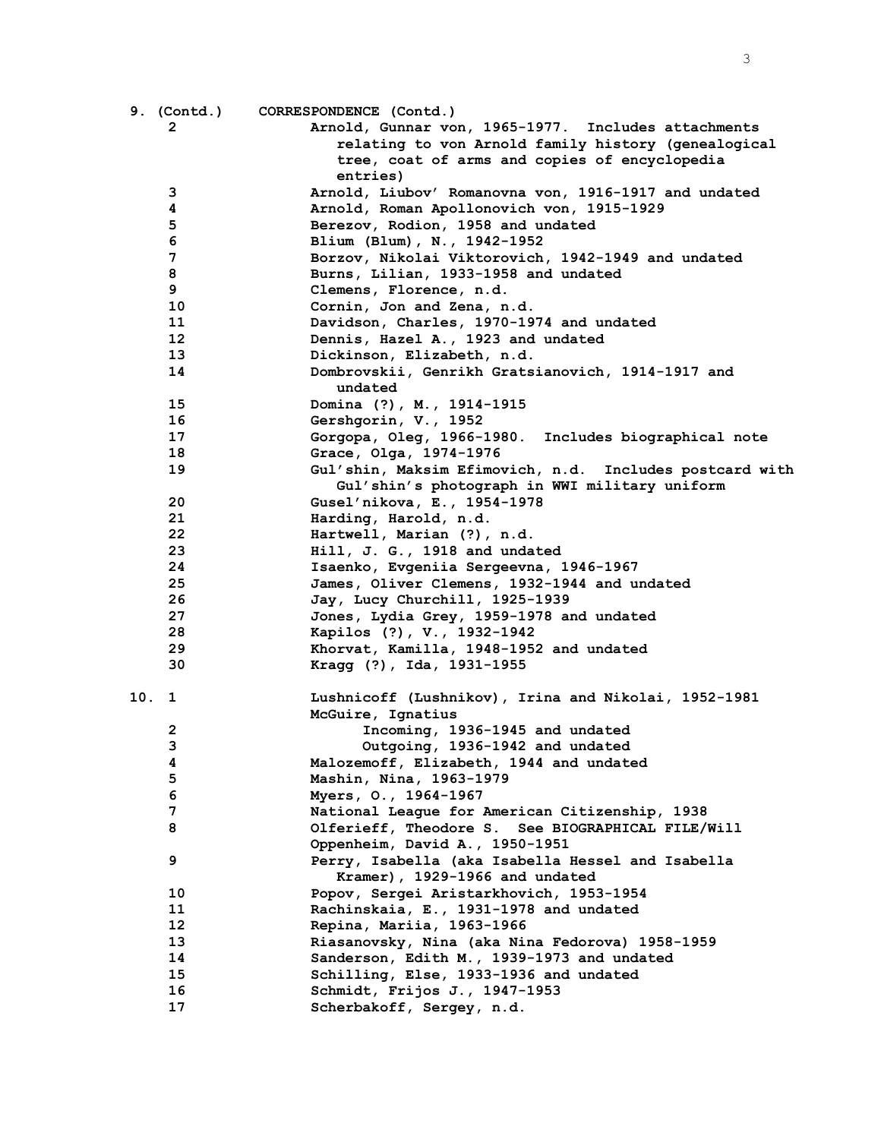|      | 9. (Contd.) | CORRESPONDENCE (Contd.)                                 |
|------|-------------|---------------------------------------------------------|
|      | 2           | Arnold, Gunnar von, 1965-1977. Includes attachments     |
|      |             | relating to von Arnold family history (genealogical     |
|      |             | tree, coat of arms and copies of encyclopedia           |
|      |             | entries)                                                |
|      | 3           | Arnold, Liubov' Romanovna von, 1916-1917 and undated    |
|      | 4           | Arnold, Roman Apollonovich von, 1915-1929               |
|      | 5           | Berezov, Rodion, 1958 and undated                       |
|      | 6           | Blium (Blum), N., 1942-1952                             |
|      | 7           | Borzov, Nikolai Viktorovich, 1942-1949 and undated      |
|      | 8           | Burns, Lilian, 1933-1958 and undated                    |
|      | 9           | Clemens, Florence, n.d.                                 |
|      | 10          | Cornin, Jon and Zena, n.d.                              |
|      | 11          | Davidson, Charles, 1970-1974 and undated                |
|      | 12          | Dennis, Hazel A., 1923 and undated                      |
|      | 13          | Dickinson, Elizabeth, n.d.                              |
|      | 14          | Dombrovskii, Genrikh Gratsianovich, 1914-1917 and       |
|      |             | undated                                                 |
|      | 15          | Domina (?), M., 1914-1915                               |
|      | 16          | Gershgorin, V., 1952                                    |
|      | 17          | Gorgopa, Oleg, 1966-1980. Includes biographical note    |
|      | 18          | Grace, Olga, 1974-1976                                  |
|      | 19          | Gul'shin, Maksim Efimovich, n.d. Includes postcard with |
|      |             | Gul'shin's photograph in WWI military uniform           |
|      | 20          | Gusel'nikova, E., 1954-1978                             |
|      | 21          | Harding, Harold, n.d.                                   |
|      | 22          | Hartwell, Marian (?), n.d.                              |
|      | 23          | Hill, J. G., 1918 and undated                           |
|      | 24          | Isaenko, Evgeniia Sergeevna, 1946-1967                  |
|      | 25          | James, Oliver Clemens, 1932-1944 and undated            |
|      | 26          | Jay, Lucy Churchill, 1925-1939                          |
|      | 27          | Jones, Lydia Grey, 1959-1978 and undated                |
|      | 28          | Kapilos (?), V., 1932-1942                              |
|      | 29          | Khorvat, Kamilla, 1948-1952 and undated                 |
|      | 30          | Kragg (?), Ida, 1931-1955                               |
|      |             |                                                         |
| 10.1 |             | Lushnicoff (Lushnikov), Irina and Nikolai, 1952-1981    |
|      |             | McGuire, Ignatius                                       |
|      | 2           | Incoming, 1936-1945 and undated                         |
|      | 3           | Outgoing, 1936-1942 and undated                         |
|      | 4           | Malozemoff, Elizabeth, 1944 and undated                 |
|      | 5           | Mashin, Nina, 1963-1979                                 |
|      | 6           | Myers, O., 1964-1967                                    |
|      | 7           | National League for American Citizenship, 1938          |
|      | 8           |                                                         |
|      |             | Olferieff, Theodore S. See BIOGRAPHICAL FILE/Will       |
|      |             | Oppenheim, David A., 1950-1951                          |
|      | 9           | Perry, Isabella (aka Isabella Hessel and Isabella       |
|      |             | Kramer), 1929-1966 and undated                          |
|      | 10          | Popov, Sergei Aristarkhovich, 1953-1954                 |
|      | 11          | Rachinskaia, E., 1931-1978 and undated                  |
|      | $12 \,$     | Repina, Mariia, 1963-1966                               |
|      | 13          | Riasanovsky, Nina (aka Nina Fedorova) 1958-1959         |
|      | 14          | Sanderson, Edith M., 1939-1973 and undated              |
|      | 15          | Schilling, Else, 1933-1936 and undated                  |
|      | 16          | Schmidt, Frijos J., 1947-1953                           |
|      | 17          | Scherbakoff, Sergey, n.d.                               |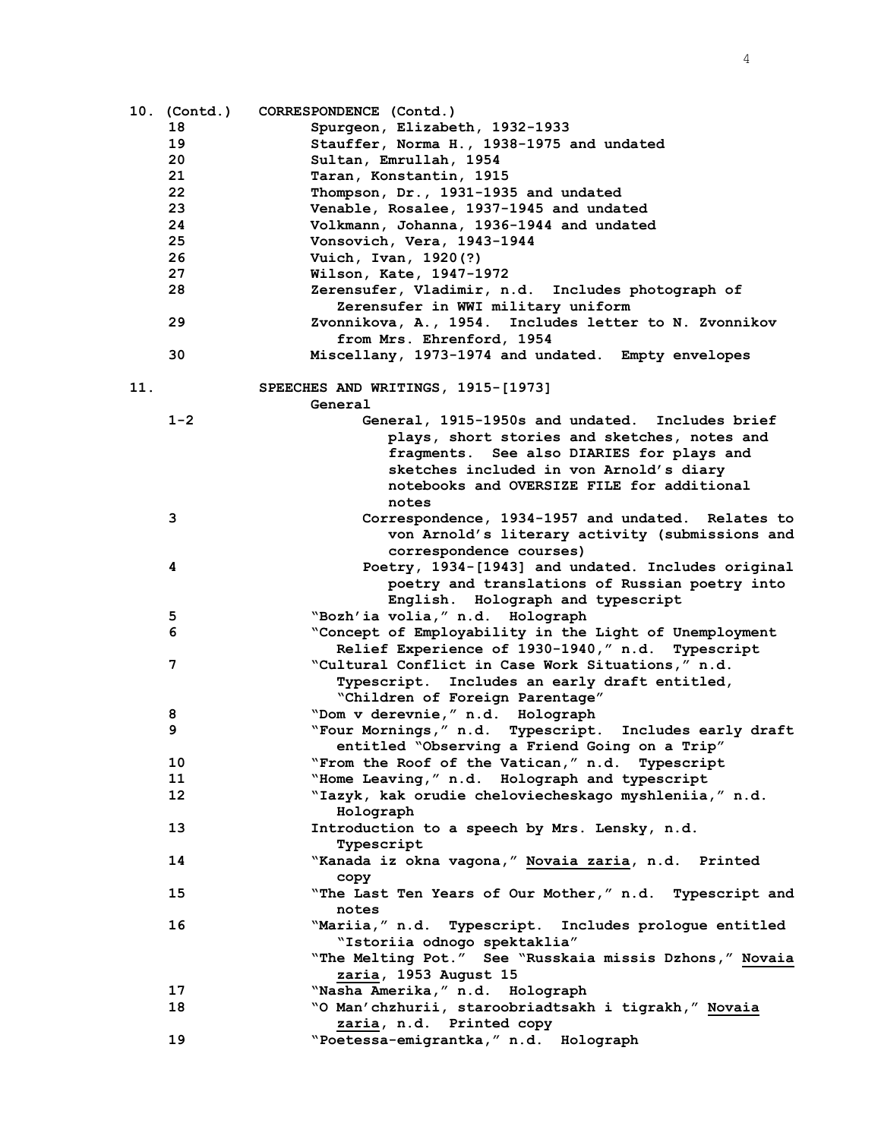|     | 10. (Contd.) | CORRESPONDENCE (Contd.)                                                            |
|-----|--------------|------------------------------------------------------------------------------------|
|     | 18           | Spurgeon, Elizabeth, 1932-1933                                                     |
|     | 19           | Stauffer, Norma H., 1938-1975 and undated                                          |
|     | 20           | Sultan, Emrullah, 1954                                                             |
|     | 21           | Taran, Konstantin, 1915                                                            |
|     | 22           | Thompson, Dr., 1931-1935 and undated                                               |
|     | 23           | Venable, Rosalee, 1937-1945 and undated                                            |
|     | 24           | Volkmann, Johanna, 1936-1944 and undated                                           |
|     | 25           | Vonsovich, Vera, 1943-1944                                                         |
|     | 26           | Vuich, Ivan, 1920(?)                                                               |
|     | 27           | Wilson, Kate, 1947-1972                                                            |
|     | 28           | Zerensufer, Vladimir, n.d. Includes photograph of                                  |
|     |              | Zerensufer in WWI military uniform                                                 |
|     | 29           | Zvonnikova, A., 1954. Includes letter to N. Zvonnikov<br>from Mrs. Ehrenford, 1954 |
|     | 30           | Miscellany, 1973-1974 and undated. Empty envelopes                                 |
| 11. |              | SPEECHES AND WRITINGS, 1915-[1973]                                                 |
|     |              | General                                                                            |
|     | $1 - 2$      | General, 1915-1950s and undated. Includes brief                                    |
|     |              | plays, short stories and sketches, notes and                                       |
|     |              | fragments. See also DIARIES for plays and                                          |
|     |              | sketches included in von Arnold's diary                                            |
|     |              | notebooks and OVERSIZE FILE for additional                                         |
|     |              | notes                                                                              |
|     | 3            | Correspondence, 1934-1957 and undated. Relates to                                  |
|     |              | von Arnold's literary activity (submissions and                                    |
|     |              | correspondence courses)                                                            |
|     | 4            | Poetry, 1934-[1943] and undated. Includes original                                 |
|     |              | poetry and translations of Russian poetry into                                     |
|     |              | English. Holograph and typescript                                                  |
|     | 5            | "Bozh'ia volia," n.d. Holograph                                                    |
|     | 6            | "Concept of Employability in the Light of Unemployment                             |
|     |              | Relief Experience of 1930-1940," n.d. Typescript                                   |
|     | 7            | "Cultural Conflict in Case Work Situations," n.d.                                  |
|     |              | Typescript. Includes an early draft entitled,                                      |
|     |              | "Children of Foreign Parentage"                                                    |
|     | 8            | "Dom v derevnie," n.d. Holograph                                                   |
|     | 9            | "Four Mornings," n.d. Typescript. Includes early draft                             |
|     |              | entitled "Observing a Friend Going on a Trip"                                      |
|     | 10           | "From the Roof of the Vatican," n.d. Typescript                                    |
|     | 11           | "Home Leaving," n.d. Holograph and typescript                                      |
|     | $12 \,$      | "Iazyk, kak orudie cheloviecheskago myshleniia," n.d.<br>Holograph                 |
|     | 13           | Introduction to a speech by Mrs. Lensky, n.d.                                      |
|     |              | Typescript                                                                         |
|     | 14           | "Kanada iz okna vagona," Novaia zaria, n.d. Printed<br>copy                        |
|     | 15           | "The Last Ten Years of Our Mother," n.d. Typescript and                            |
|     |              | notes                                                                              |
|     | 16           | "Mariia," n.d. Typescript. Includes prologue entitled                              |
|     |              | "Istoriia odnogo spektaklia"                                                       |
|     |              | "The Melting Pot." See "Russkaia missis Dzhons," Novaia                            |
|     |              | zaria, 1953 August 15                                                              |
|     | 17           | "Nasha Amerika," n.d. Holograph                                                    |
|     | 18           | "O Man'chzhurii, staroobriadtsakh i tigrakh," Novaia                               |
|     |              | zaria, n.d. Printed copy                                                           |
|     | 19           | "Poetessa-emigrantka, " n.d. Holograph                                             |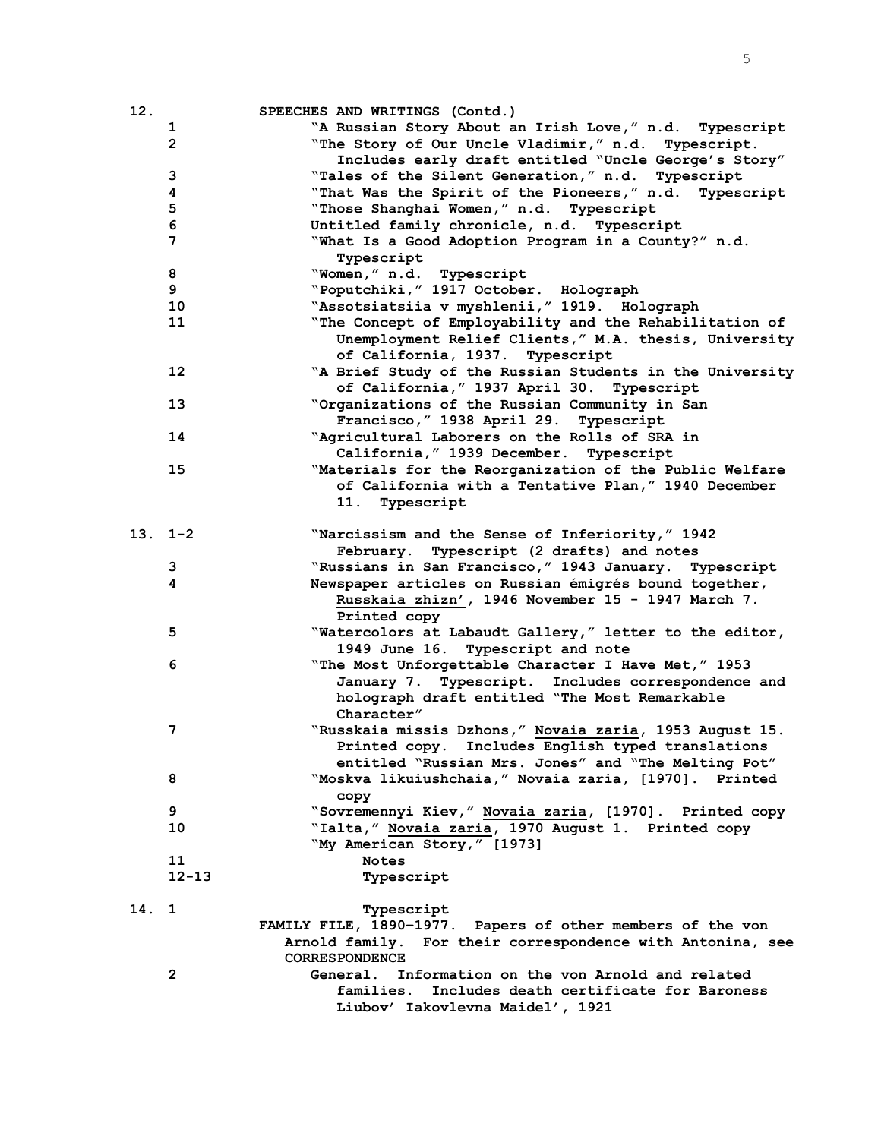| 12.        |                | SPEECHES AND WRITINGS (Contd.)                             |
|------------|----------------|------------------------------------------------------------|
|            | $\mathbf{1}$   | "A Russian Story About an Irish Love," n.d. Typescript     |
|            | $\overline{2}$ | "The Story of Our Uncle Vladimir," n.d. Typescript.        |
|            |                | Includes early draft entitled "Uncle George's Story"       |
|            | 3              | "Tales of the Silent Generation," n.d. Typescript          |
|            | 4              | "That Was the Spirit of the Pioneers," n.d. Typescript     |
|            | 5              | "Those Shanghai Women," n.d. Typescript                    |
|            | 6              | Untitled family chronicle, n.d. Typescript                 |
|            | 7              | "What Is a Good Adoption Program in a County?" n.d.        |
|            |                | Typescript                                                 |
|            | 8              | "Women," n.d. Typescript                                   |
|            | 9              | "Poputchiki, " 1917 October. Holograph                     |
|            | 10             | "Assotsiatsiia v myshlenii, "1919. Holograph               |
|            | 11             | "The Concept of Employability and the Rehabilitation of    |
|            |                | Unemployment Relief Clients," M.A. thesis, University      |
|            |                | of California, 1937. Typescript                            |
|            | 12             | "A Brief Study of the Russian Students in the University   |
|            |                | of California, " 1937 April 30. Typescript                 |
|            | 13             | "Organizations of the Russian Community in San             |
|            |                | Francisco, " 1938 April 29. Typescript                     |
|            | 14             | "Agricultural Laborers on the Rolls of SRA in              |
|            |                | California, " 1939 December. Typescript                    |
|            | 15             | "Materials for the Reorganization of the Public Welfare    |
|            |                | of California with a Tentative Plan," 1940 December        |
|            |                | 11. Typescript                                             |
|            |                |                                                            |
| $13.1 - 2$ |                | "Narcissism and the Sense of Inferiority," 1942            |
|            |                | February. Typescript (2 drafts) and notes                  |
|            | 3              | "Russians in San Francisco, " 1943 January. Typescript     |
|            | 4              | Newspaper articles on Russian émigrés bound together,      |
|            |                | Russkaia zhizn', 1946 November 15 - 1947 March 7.          |
|            |                | Printed copy                                               |
|            | 5              | "Watercolors at Labaudt Gallery," letter to the editor,    |
|            |                | 1949 June 16. Typescript and note                          |
|            | 6              | "The Most Unforgettable Character I Have Met," 1953        |
|            |                | January 7. Typescript. Includes correspondence and         |
|            |                | holograph draft entitled "The Most Remarkable              |
|            |                | Character"                                                 |
|            | 7              | "Russkaia missis Dzhons," Novaia zaria, 1953 August 15.    |
|            |                | Printed copy. Includes English typed translations          |
|            |                | entitled "Russian Mrs. Jones" and "The Melting Pot"        |
|            | 8              | "Moskva likuiushchaia," Novaia zaria, [1970]. Printed      |
|            |                | сору                                                       |
|            | 9              | "Sovremennyi Kiev," Novaia zaria, [1970]. Printed copy     |
|            | 10             | "Ialta," Novaia zaria, 1970 August 1. Printed copy         |
|            |                | "My American Story," [1973]                                |
|            | 11             | <b>Notes</b>                                               |
|            | $12 - 13$      | Typescript                                                 |
|            |                |                                                            |
| 14. 1      |                | Typescript                                                 |
|            |                | FAMILY FILE, 1890-1977. Papers of other members of the von |
|            |                | Arnold family. For their correspondence with Antonina, see |
|            |                | <b>CORRESPONDENCE</b>                                      |
|            | $\overline{2}$ | General. Information on the von Arnold and related         |
|            |                | Includes death certificate for Baroness<br>families.       |
|            |                | Liubov' Iakovlevna Maidel', 1921                           |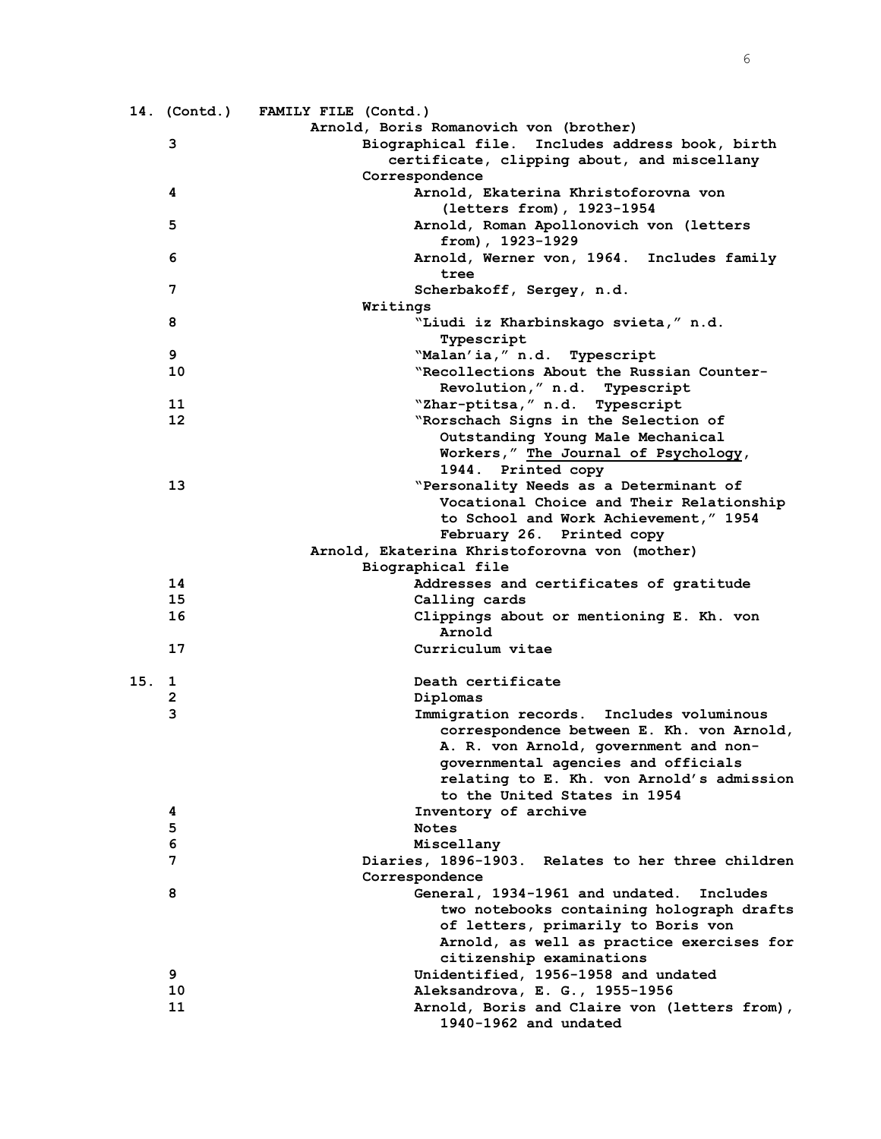|       |    | 14. (Contd.) FAMILY FILE (Contd.)                 |
|-------|----|---------------------------------------------------|
|       |    | Arnold, Boris Romanovich von (brother)            |
|       | 3  | Biographical file. Includes address book, birth   |
|       |    | certificate, clipping about, and miscellany       |
|       |    | Correspondence                                    |
|       | 4  | Arnold, Ekaterina Khristoforovna von              |
|       |    | (letters from), 1923-1954                         |
|       | 5  | Arnold, Roman Apollonovich von (letters           |
|       |    | from), 1923-1929                                  |
|       | 6  | Arnold, Werner von, 1964. Includes family         |
|       |    | tree                                              |
|       | 7  | Scherbakoff, Sergey, n.d.                         |
|       |    | Writings                                          |
|       | 8  | "Liudi iz Kharbinskago svieta," n.d.              |
|       |    | Typescript                                        |
|       | 9  | "Malan'ia," n.d. Typescript                       |
|       | 10 | "Recollections About the Russian Counter-         |
|       |    | Revolution," n.d. Typescript                      |
|       | 11 | "Zhar-ptitsa," n.d. Typescript                    |
|       | 12 | "Rorschach Signs in the Selection of              |
|       |    | Outstanding Young Male Mechanical                 |
|       |    | Workers," The Journal of Psychology,              |
|       |    | 1944. Printed copy                                |
|       | 13 | "Personality Needs as a Determinant of            |
|       |    | Vocational Choice and Their Relationship          |
|       |    | to School and Work Achievement, " 1954            |
|       |    | February 26. Printed copy                         |
|       |    | Arnold, Ekaterina Khristoforovna von (mother)     |
|       |    | Biographical file                                 |
|       | 14 | Addresses and certificates of gratitude           |
|       | 15 | Calling cards                                     |
|       | 16 | Clippings about or mentioning E. Kh. von          |
|       |    | Arnold                                            |
|       | 17 | Curriculum vitae                                  |
|       |    |                                                   |
| 15. 1 |    | Death certificate                                 |
|       | 2  | Diplomas                                          |
|       | 3  | Immigration records.<br>Includes voluminous       |
|       |    | correspondence between E. Kh. von Arnold,         |
|       |    | A. R. von Arnold, government and non-             |
|       |    | governmental agencies and officials               |
|       |    | relating to E. Kh. von Arnold's admission         |
|       |    | to the United States in 1954                      |
|       | 4  | Inventory of archive                              |
|       | 5  | <b>Notes</b>                                      |
|       | 6  | Miscellany                                        |
|       | 7  | Diaries, 1896-1903. Relates to her three children |
|       |    | Correspondence                                    |
|       | 8  | General, 1934-1961 and undated.<br>Includes       |
|       |    | two notebooks containing holograph drafts         |
|       |    | of letters, primarily to Boris von                |
|       |    | Arnold, as well as practice exercises for         |
|       |    | citizenship examinations                          |
|       | 9  | Unidentified, 1956-1958 and undated               |
|       | 10 | Aleksandrova, E. G., 1955-1956                    |
|       | 11 | Arnold, Boris and Claire von (letters from),      |
|       |    | 1940-1962 and undated                             |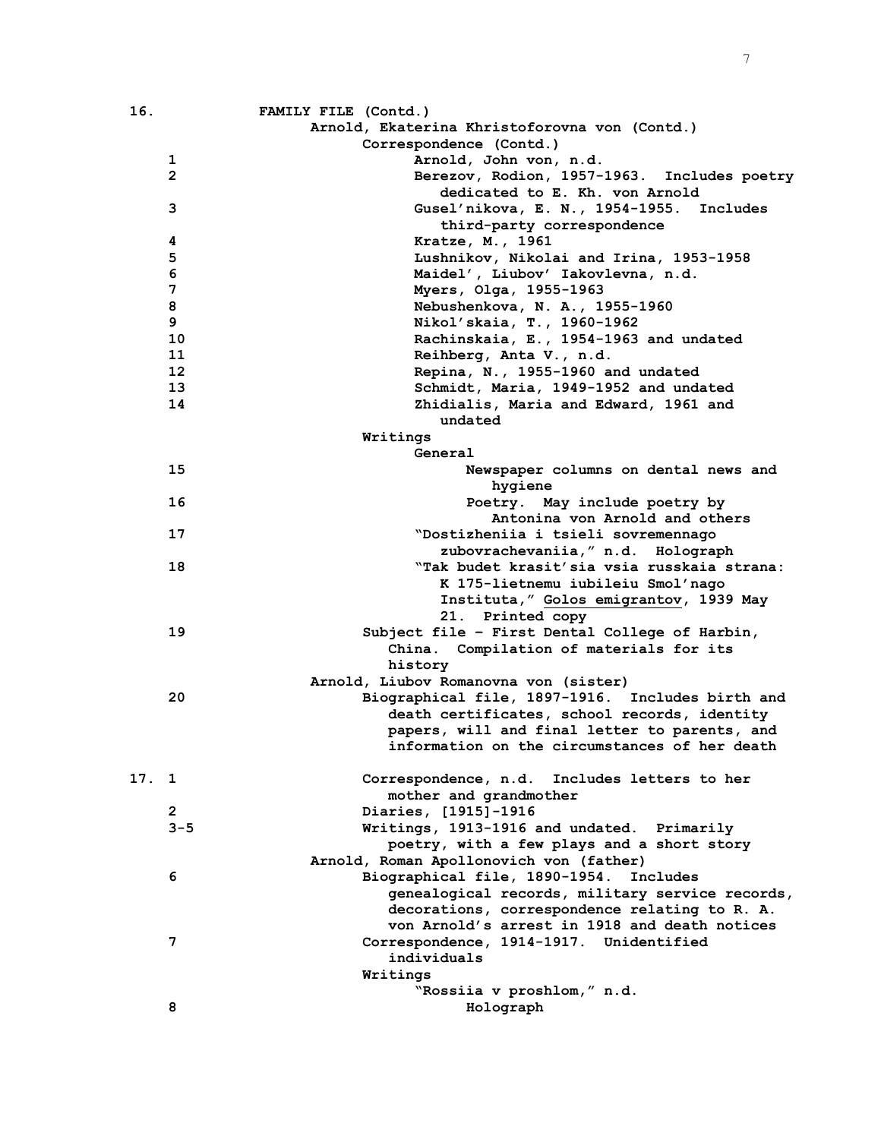| 16.  |                | FAMILY FILE (Contd.)                             |
|------|----------------|--------------------------------------------------|
|      |                | Arnold, Ekaterina Khristoforovna von (Contd.)    |
|      |                | Correspondence (Contd.)                          |
|      | 1              | Arnold, John von, n.d.                           |
|      | $\overline{2}$ | Berezov, Rodion, 1957-1963. Includes poetry      |
|      |                | dedicated to E. Kh. von Arnold                   |
|      | 3              | Gusel'nikova, E. N., 1954-1955. Includes         |
|      |                | third-party correspondence                       |
|      | 4              | Kratze, M., 1961                                 |
|      | 5              | Lushnikov, Nikolai and Irina, 1953-1958          |
|      | 6              | Maidel', Liubov' Iakovlevna, n.d.                |
|      | 7              | Myers, Olga, 1955-1963                           |
|      | 8              | Nebushenkova, N. A., 1955-1960                   |
|      | 9              | Nikol'skaia, T., 1960-1962                       |
|      | 10             | Rachinskaia, E., 1954-1963 and undated           |
|      | 11             | Reihberg, Anta V., n.d.                          |
|      | 12             | Repina, N., 1955-1960 and undated                |
|      | 13             | Schmidt, Maria, 1949-1952 and undated            |
|      | 14             | Zhidialis, Maria and Edward, 1961 and            |
|      |                |                                                  |
|      |                | undated                                          |
|      |                | Writings<br>General                              |
|      |                |                                                  |
|      | 15             | Newspaper columns on dental news and             |
|      |                | hygiene                                          |
|      | 16             | Poetry. May include poetry by                    |
|      |                | Antonina von Arnold and others                   |
|      | 17             | "Dostizheniia i tsieli sovremennago              |
|      |                | zubovrachevaniia, " n.d. Holograph               |
|      | 18             | "Tak budet krasit'sia vsia russkaia strana:      |
|      |                | K 175-lietnemu iubileiu Smol'nago                |
|      |                | Instituta," Golos emigrantov, 1939 May           |
|      |                | 21. Printed copy                                 |
|      | 19             | Subject file - First Dental College of Harbin,   |
|      |                | China. Compilation of materials for its          |
|      |                | history                                          |
|      |                | Arnold, Liubov Romanovna von (sister)            |
|      | 20             | Biographical file, 1897-1916. Includes birth and |
|      |                | death certificates, school records, identity     |
|      |                | papers, will and final letter to parents, and    |
|      |                | information on the circumstances of her death    |
|      |                |                                                  |
| 17.1 |                | Correspondence, n.d. Includes letters to her     |
|      |                | mother and grandmother                           |
|      | 2              | Diaries, [1915]-1916                             |
|      | $3 - 5$        | Writings, 1913-1916 and undated. Primarily       |
|      |                | poetry, with a few plays and a short story       |
|      |                | Arnold, Roman Apollonovich von (father)          |
|      | 6              | Biographical file, 1890-1954.<br>Includes        |
|      |                | genealogical records, military service records,  |
|      |                | decorations, correspondence relating to R. A.    |
|      |                | von Arnold's arrest in 1918 and death notices    |
|      | 7              | Correspondence, 1914-1917. Unidentified          |
|      |                | individuals                                      |
|      |                | Writings                                         |
|      |                | "Rossiia v proshlom," n.d.                       |
|      | 8              |                                                  |
|      |                | Holograph                                        |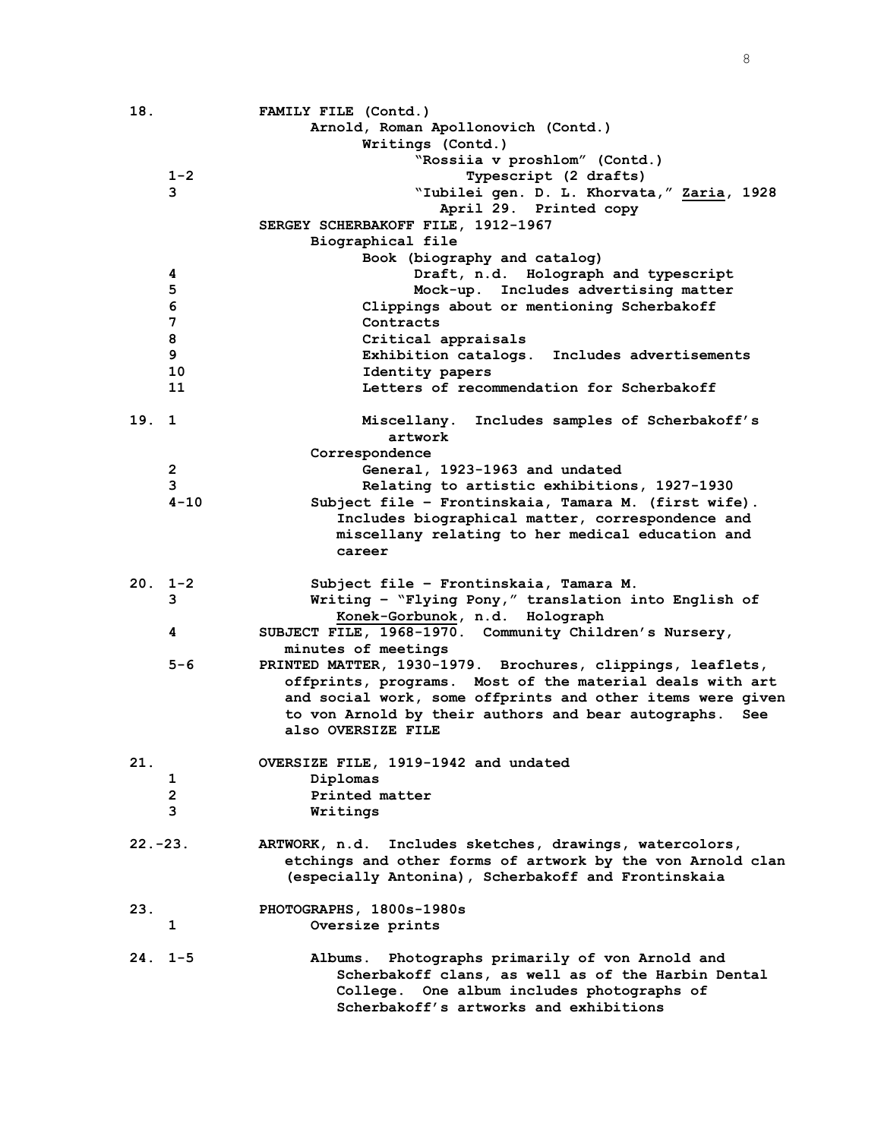| 18.        |                | FAMILY FILE (Contd.)                                                                                    |
|------------|----------------|---------------------------------------------------------------------------------------------------------|
|            |                | Arnold, Roman Apollonovich (Contd.)                                                                     |
|            |                | Writings (Contd.)                                                                                       |
|            |                | "Rossiia v proshlom" (Contd.)                                                                           |
|            | $1 - 2$        | Typescript (2 drafts)                                                                                   |
|            | 3              | "Iubilei gen. D. L. Khorvata," Zaria, 1928                                                              |
|            |                | April 29. Printed copy                                                                                  |
|            |                | SERGEY SCHERBAKOFF FILE, 1912-1967                                                                      |
|            |                | Biographical file                                                                                       |
|            |                | Book (biography and catalog)                                                                            |
|            | 4              | Draft, n.d. Holograph and typescript                                                                    |
|            | 5              | Mock-up. Includes advertising matter                                                                    |
|            | 6              | Clippings about or mentioning Scherbakoff                                                               |
|            | 7              | Contracts                                                                                               |
|            | 8              | Critical appraisals                                                                                     |
|            | 9              | Exhibition catalogs. Includes advertisements                                                            |
|            | 10             | Identity papers                                                                                         |
|            | 11             | Letters of recommendation for Scherbakoff                                                               |
|            |                |                                                                                                         |
| 19.        | 1              | Includes samples of Scherbakoff's<br>Miscellany.                                                        |
|            |                | artwork                                                                                                 |
|            |                | Correspondence                                                                                          |
|            | $\mathbf{2}$   | General, 1923-1963 and undated                                                                          |
|            | 3              | Relating to artistic exhibitions, 1927-1930                                                             |
|            | $4 - 10$       | Subject file - Frontinskaia, Tamara M. (first wife).                                                    |
|            |                | Includes biographical matter, correspondence and                                                        |
|            |                | miscellany relating to her medical education and                                                        |
|            |                | career                                                                                                  |
|            |                |                                                                                                         |
|            |                |                                                                                                         |
|            | $20.1 - 2$     | Subject file - Frontinskaia, Tamara M.                                                                  |
|            | 3              | Writing - "Flying Pony," translation into English of                                                    |
|            |                | Konek-Gorbunok, n.d. Holograph                                                                          |
|            | 4              | SUBJECT FILE, 1968-1970. Community Children's Nursery,                                                  |
|            |                | minutes of meetings                                                                                     |
|            | 5-6            | PRINTED MATTER, 1930-1979. Brochures, clippings, leaflets,                                              |
|            |                | offprints, programs. Most of the material deals with art                                                |
|            |                | and social work, some offprints and other items were given                                              |
|            |                | to von Arnold by their authors and bear autographs.<br>See                                              |
|            |                | also OVERSIZE FILE                                                                                      |
|            |                |                                                                                                         |
| 21.        |                | OVERSIZE FILE, 1919-1942 and undated                                                                    |
|            | 1              | Diplomas                                                                                                |
|            | $\overline{2}$ | Printed matter                                                                                          |
|            | 3              | Writings                                                                                                |
| $22. -23.$ |                | ARTWORK, n.d.                                                                                           |
|            |                | Includes sketches, drawings, watercolors,<br>etchings and other forms of artwork by the von Arnold clan |
|            |                | (especially Antonina), Scherbakoff and Frontinskaia                                                     |
|            |                |                                                                                                         |
| 23.        |                | PHOTOGRAPHS, 1800s-1980s                                                                                |
|            | 1              | Oversize prints                                                                                         |
|            |                |                                                                                                         |
|            | $24.1 - 5$     | Photographs primarily of von Arnold and<br>Albums.                                                      |
|            |                | Scherbakoff clans, as well as of the Harbin Dental                                                      |
|            |                | College. One album includes photographs of<br>Scherbakoff's artworks and exhibitions                    |